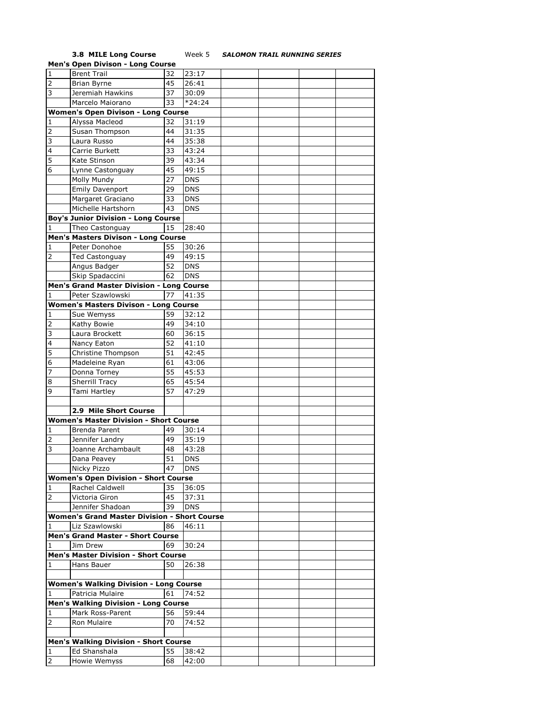## **3.8 MILE Long Course** Week 5 *SALOMON TRAIL RUNNING SERIES*

|                | <b>Men's Open Divison - Long Course</b>             |    |            |  |  |
|----------------|-----------------------------------------------------|----|------------|--|--|
| $\mathbf 1$    | <b>Brent Trail</b>                                  | 32 | 23:17      |  |  |
| $\overline{2}$ | Brian Byrne                                         | 45 | 26:41      |  |  |
| 3              | Jeremiah Hawkins                                    | 37 | 30:09      |  |  |
|                | Marcelo Maiorano                                    | 33 | $*24:24$   |  |  |
|                |                                                     |    |            |  |  |
|                | <b>Women's Open Divison - Long Course</b>           |    |            |  |  |
| 1              | Alyssa Macleod                                      | 32 | 31:19      |  |  |
| 2              | Susan Thompson                                      | 44 | 31:35      |  |  |
| 3              | Laura Russo                                         | 44 | 35:38      |  |  |
| 4              | Carrie Burkett                                      | 33 | 43:24      |  |  |
| 5              | Kate Stinson                                        | 39 | 43:34      |  |  |
| 6              | Lynne Castonguay                                    | 45 | 49:15      |  |  |
|                | Molly Mundy                                         | 27 | <b>DNS</b> |  |  |
|                | <b>Emily Davenport</b>                              | 29 | <b>DNS</b> |  |  |
|                | Margaret Graciano                                   | 33 | <b>DNS</b> |  |  |
|                | Michelle Hartshorn                                  | 43 | <b>DNS</b> |  |  |
|                | <b>Boy's Junior Division - Long Course</b>          |    |            |  |  |
|                |                                                     |    |            |  |  |
| 1              | Theo Castonguay                                     | 15 | 28:40      |  |  |
|                | Men's Masters Divison - Long Course                 |    |            |  |  |
| 1              | Peter Donohoe                                       | 55 | 30:26      |  |  |
| 2              | <b>Ted Castonguay</b>                               | 49 | 49:15      |  |  |
|                | Angus Badger                                        | 52 | <b>DNS</b> |  |  |
|                | Skip Spadaccini                                     | 62 | <b>DNS</b> |  |  |
|                | Men's Grand Master Division - Long Course           |    |            |  |  |
| 1              | Peter Szawlowski                                    | 77 | 41:35      |  |  |
|                | <b>Women's Masters Divison - Long Course</b>        |    |            |  |  |
| 1              | Sue Wemyss                                          | 59 | 32:12      |  |  |
| 2              | Kathy Bowie                                         | 49 | 34:10      |  |  |
| 3              | Laura Brockett                                      | 60 | 36:15      |  |  |
| 4              | Nancy Eaton                                         | 52 | 41:10      |  |  |
| 5              | Christine Thompson                                  | 51 | 42:45      |  |  |
| 6              | Madeleine Ryan                                      | 61 | 43:06      |  |  |
| 7              |                                                     | 55 | 45:53      |  |  |
|                | Donna Torney                                        | 65 |            |  |  |
| 8              | <b>Sherrill Tracy</b>                               |    | 45:54      |  |  |
| 9              | Tami Hartley                                        | 57 | 47:29      |  |  |
|                |                                                     |    |            |  |  |
|                | 2.9 Mile Short Course                               |    |            |  |  |
|                | <b>Women's Master Division - Short Course</b>       |    |            |  |  |
| 1              | Brenda Parent                                       | 49 | 30:14      |  |  |
| 2              | Jennifer Landry                                     | 49 | 35:19      |  |  |
| 3              | Joanne Archambault                                  | 48 | 43:28      |  |  |
|                | Dana Peavey                                         | 51 | <b>DNS</b> |  |  |
|                | Nicky Pizzo                                         | 47 | <b>DNS</b> |  |  |
|                | <b>Women's Open Division - Short Course</b>         |    |            |  |  |
| 1              | Rachel Caldwell                                     | 35 | 36:05      |  |  |
| 2              | Victoria Giron                                      | 45 | 37:31      |  |  |
|                | Jennifer Shadoan                                    | 39 | <b>DNS</b> |  |  |
|                | <b>Women's Grand Master Division - Short Course</b> |    |            |  |  |
| 1              | Liz Szawlowski                                      | 86 | 46:11      |  |  |
|                | <b>Men's Grand Master - Short Course</b>            |    |            |  |  |
|                |                                                     | 69 |            |  |  |
| 1              | Jim Drew                                            |    | 30:24      |  |  |
|                | <b>Men's Master Division - Short Course</b>         |    |            |  |  |
| 1              | Hans Bauer                                          | 50 | 26:38      |  |  |
|                |                                                     |    |            |  |  |
|                | <b>Women's Walking Division - Long Course</b>       |    |            |  |  |
| 1              | Patricia Mulaire                                    | 61 | 74:52      |  |  |
|                | <b>Men's Walking Division - Long Course</b>         |    |            |  |  |
| 1              | Mark Ross-Parent                                    | 56 | 59:44      |  |  |
| 2              | Ron Mulaire                                         | 70 | 74:52      |  |  |
|                |                                                     |    |            |  |  |
|                | <b>Men's Walking Division - Short Course</b>        |    |            |  |  |
| 1              | Ed Shanshala                                        | 55 | 38:42      |  |  |
| $\overline{2}$ | Howie Wemyss                                        | 68 | 42:00      |  |  |